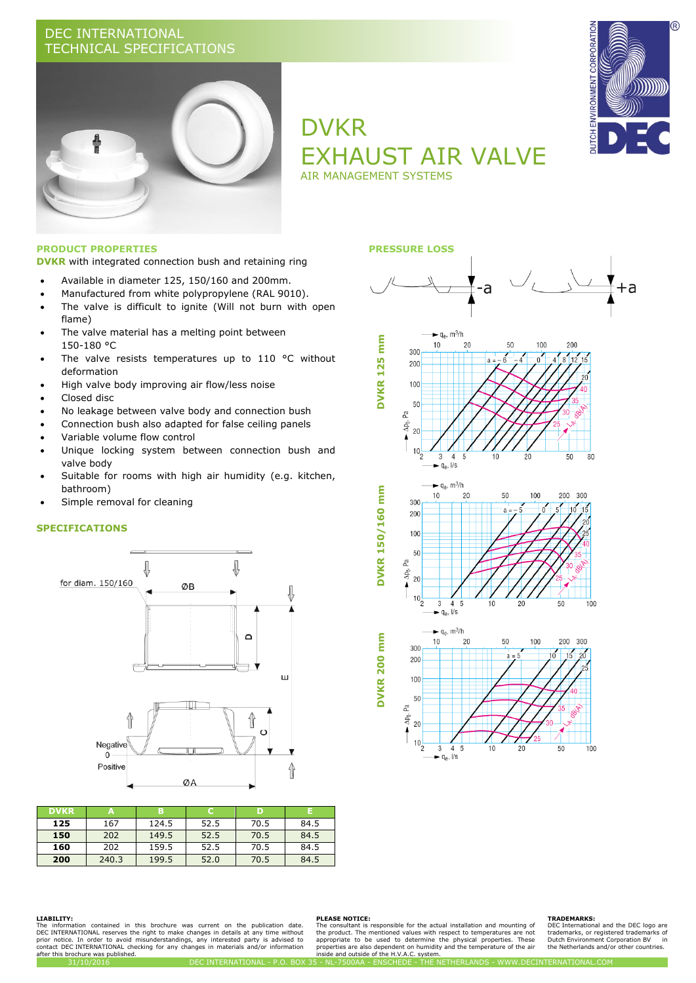## DEC INTERNATIONAL TECHNICAL SPECIFICATIONS



# DVKR EXHAUST AIR VALVE AIR MANAGEMENT SYSTEMS



**DVKR** with integrated connection bush and retaining ring

- Available in diameter 125, 150/160 and 200mm.
- Manufactured from white polypropylene (RAL 9010).
- The valve is difficult to ignite (Will not burn with open flame)
- The valve material has a melting point between 150-180 °C
- The valve resists temperatures up to 110 °C without deformation
- High valve body improving air flow/less noise
- Closed disc
- No leakage between valve body and connection bush
- Connection bush also adapted for false ceiling panels
- Variable volume flow control
- Unique locking system between connection bush and valve body
- Suitable for rooms with high air humidity (e.g. kitchen, bathroom)
- Simple removal for cleaning

### **SPECIFICATIONS**



| <b>DVKR</b> | Α     | в     |      |      |      |
|-------------|-------|-------|------|------|------|
| 125         | 167   | 124.5 | 52.5 | 70.5 | 84.5 |
| 150         | 202   | 149.5 | 52.5 | 70.5 | 84.5 |
| 160         | 202   | 159.5 | 52.5 | 70.5 | 84.5 |
| 200         | 240.3 | 199.5 | 52.0 | 70.5 | 84.5 |



#### **LIABILITY:**

The information contained in this brochure was current on the publication date.<br>DEC\_INTERNATIONAL\_reserves\_the\_right\_to\_make\_changes\_in\_details\_at\_any\_time\_without\_<br>prior\_notice.\_In\_order\_to\_avoid\_misunderstandings\_any\_int after this brochure was published.

#### **PLEASE NOTICE:**

The consultant is responsible for the actual installation and mounting of<br>the product. The mentioned values with respect to temperatures are not<br>appropriate to be used to determine the physical properties. These<br>properties

 $1/s$  $q_{\rm A}$ 

#### **TRADEMARKS:**

DEC International and the DEC logo are<br>trademarks, or registered trademarks of trademarks, or registered trademarks of Dutch Environment Corporation BV in the Netherlands and/or other countries.